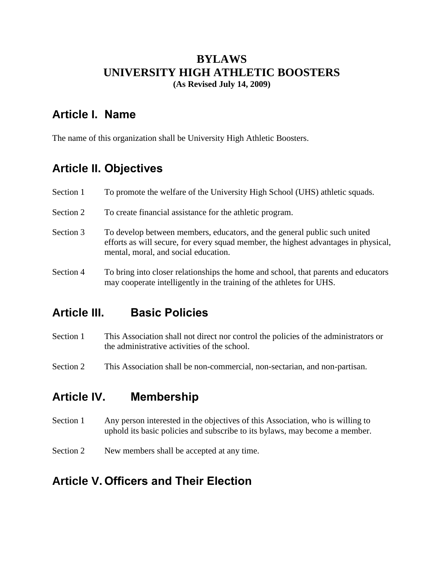# **BYLAWS UNIVERSITY HIGH ATHLETIC BOOSTERS**

**(As Revised July 14, 2009)**

## **Article I. Name**

The name of this organization shall be University High Athletic Boosters.

## **Article II. Objectives**

| Section 1 | To promote the welfare of the University High School (UHS) athletic squads.                                                                                                                              |
|-----------|----------------------------------------------------------------------------------------------------------------------------------------------------------------------------------------------------------|
| Section 2 | To create financial assistance for the athletic program.                                                                                                                                                 |
| Section 3 | To develop between members, educators, and the general public such united<br>efforts as will secure, for every squad member, the highest advantages in physical,<br>mental, moral, and social education. |
| Section 4 | To bring into closer relationships the home and school, that parents and educators<br>may cooperate intelligently in the training of the athletes for UHS.                                               |

## **Article III. Basic Policies**

- Section 1 This Association shall not direct nor control the policies of the administrators or the administrative activities of the school.
- Section 2 This Association shall be non-commercial, non-sectarian, and non-partisan.

## **Article IV. Membership**

- Section 1 Any person interested in the objectives of this Association, who is willing to uphold its basic policies and subscribe to its bylaws, may become a member.
- Section 2 New members shall be accepted at any time.

## **Article V. Officers and Their Election**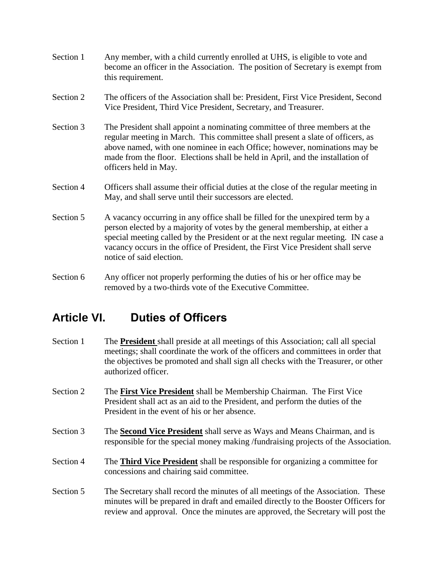- Section 1 Any member, with a child currently enrolled at UHS, is eligible to vote and become an officer in the Association. The position of Secretary is exempt from this requirement.
- Section 2 The officers of the Association shall be: President, First Vice President, Second Vice President, Third Vice President, Secretary, and Treasurer.
- Section 3 The President shall appoint a nominating committee of three members at the regular meeting in March. This committee shall present a slate of officers, as above named, with one nominee in each Office; however, nominations may be made from the floor. Elections shall be held in April, and the installation of officers held in May.
- Section 4 Officers shall assume their official duties at the close of the regular meeting in May, and shall serve until their successors are elected.
- Section 5 A vacancy occurring in any office shall be filled for the unexpired term by a person elected by a majority of votes by the general membership, at either a special meeting called by the President or at the next regular meeting. IN case a vacancy occurs in the office of President, the First Vice President shall serve notice of said election.
- Section 6 Any officer not properly performing the duties of his or her office may be removed by a two-thirds vote of the Executive Committee.

## **Article VI. Duties of Officers**

- Section 1 The **President** shall preside at all meetings of this Association; call all special meetings; shall coordinate the work of the officers and committees in order that the objectives be promoted and shall sign all checks with the Treasurer, or other authorized officer.
- Section 2 The **First Vice President** shall be Membership Chairman. The First Vice President shall act as an aid to the President, and perform the duties of the President in the event of his or her absence.
- Section 3 The **Second Vice President** shall serve as Ways and Means Chairman, and is responsible for the special money making /fundraising projects of the Association.
- Section 4 The **Third Vice President** shall be responsible for organizing a committee for concessions and chairing said committee.
- Section 5 The Secretary shall record the minutes of all meetings of the Association. These minutes will be prepared in draft and emailed directly to the Booster Officers for review and approval. Once the minutes are approved, the Secretary will post the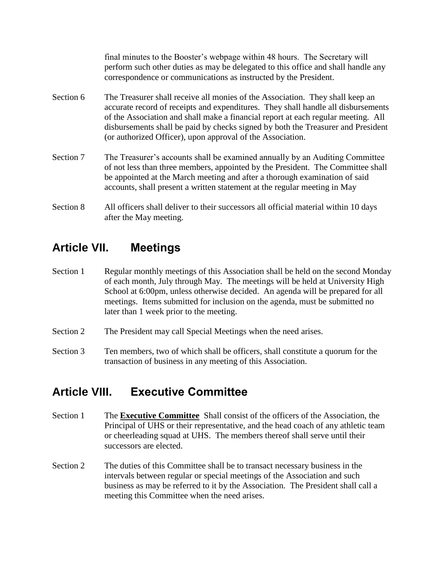final minutes to the Booster's webpage within 48 hours. The Secretary will perform such other duties as may be delegated to this office and shall handle any correspondence or communications as instructed by the President.

- Section 6 The Treasurer shall receive all monies of the Association. They shall keep an accurate record of receipts and expenditures. They shall handle all disbursements of the Association and shall make a financial report at each regular meeting. All disbursements shall be paid by checks signed by both the Treasurer and President (or authorized Officer), upon approval of the Association.
- Section 7 The Treasurer's accounts shall be examined annually by an Auditing Committee of not less than three members, appointed by the President. The Committee shall be appointed at the March meeting and after a thorough examination of said accounts, shall present a written statement at the regular meeting in May
- Section 8 All officers shall deliver to their successors all official material within 10 days after the May meeting.

#### **Article VII. Meetings**

- Section 1 Regular monthly meetings of this Association shall be held on the second Monday of each month, July through May. The meetings will be held at University High School at 6:00pm, unless otherwise decided. An agenda will be prepared for all meetings. Items submitted for inclusion on the agenda, must be submitted no later than 1 week prior to the meeting.
- Section 2 The President may call Special Meetings when the need arises.
- Section 3 Ten members, two of which shall be officers, shall constitute a quorum for the transaction of business in any meeting of this Association.

## **Article VIII. Executive Committee**

- Section 1 The **Executive Committee** Shall consist of the officers of the Association, the Principal of UHS or their representative, and the head coach of any athletic team or cheerleading squad at UHS. The members thereof shall serve until their successors are elected.
- Section 2 The duties of this Committee shall be to transact necessary business in the intervals between regular or special meetings of the Association and such business as may be referred to it by the Association. The President shall call a meeting this Committee when the need arises.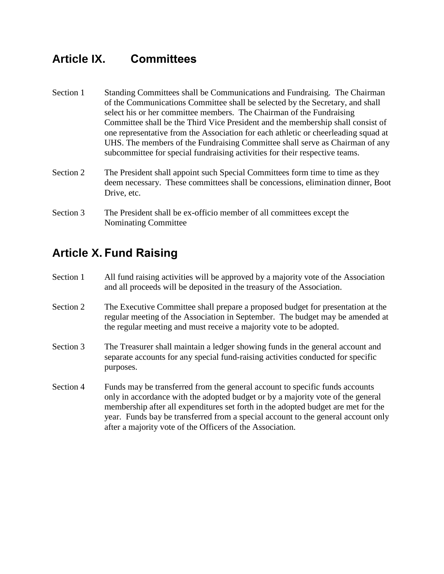#### **Article IX. Committees**

- Section 1 Standing Committees shall be Communications and Fundraising. The Chairman of the Communications Committee shall be selected by the Secretary, and shall select his or her committee members. The Chairman of the Fundraising Committee shall be the Third Vice President and the membership shall consist of one representative from the Association for each athletic or cheerleading squad at UHS. The members of the Fundraising Committee shall serve as Chairman of any subcommittee for special fundraising activities for their respective teams.
- Section 2 The President shall appoint such Special Committees form time to time as they deem necessary. These committees shall be concessions, elimination dinner, Boot Drive, etc.
- Section 3 The President shall be ex-officio member of all committees except the Nominating Committee

## **Article X. Fund Raising**

- Section 1 All fund raising activities will be approved by a majority vote of the Association and all proceeds will be deposited in the treasury of the Association.
- Section 2 The Executive Committee shall prepare a proposed budget for presentation at the regular meeting of the Association in September. The budget may be amended at the regular meeting and must receive a majority vote to be adopted.
- Section 3 The Treasurer shall maintain a ledger showing funds in the general account and separate accounts for any special fund-raising activities conducted for specific purposes.
- Section 4 Funds may be transferred from the general account to specific funds accounts only in accordance with the adopted budget or by a majority vote of the general membership after all expenditures set forth in the adopted budget are met for the year. Funds bay be transferred from a special account to the general account only after a majority vote of the Officers of the Association.